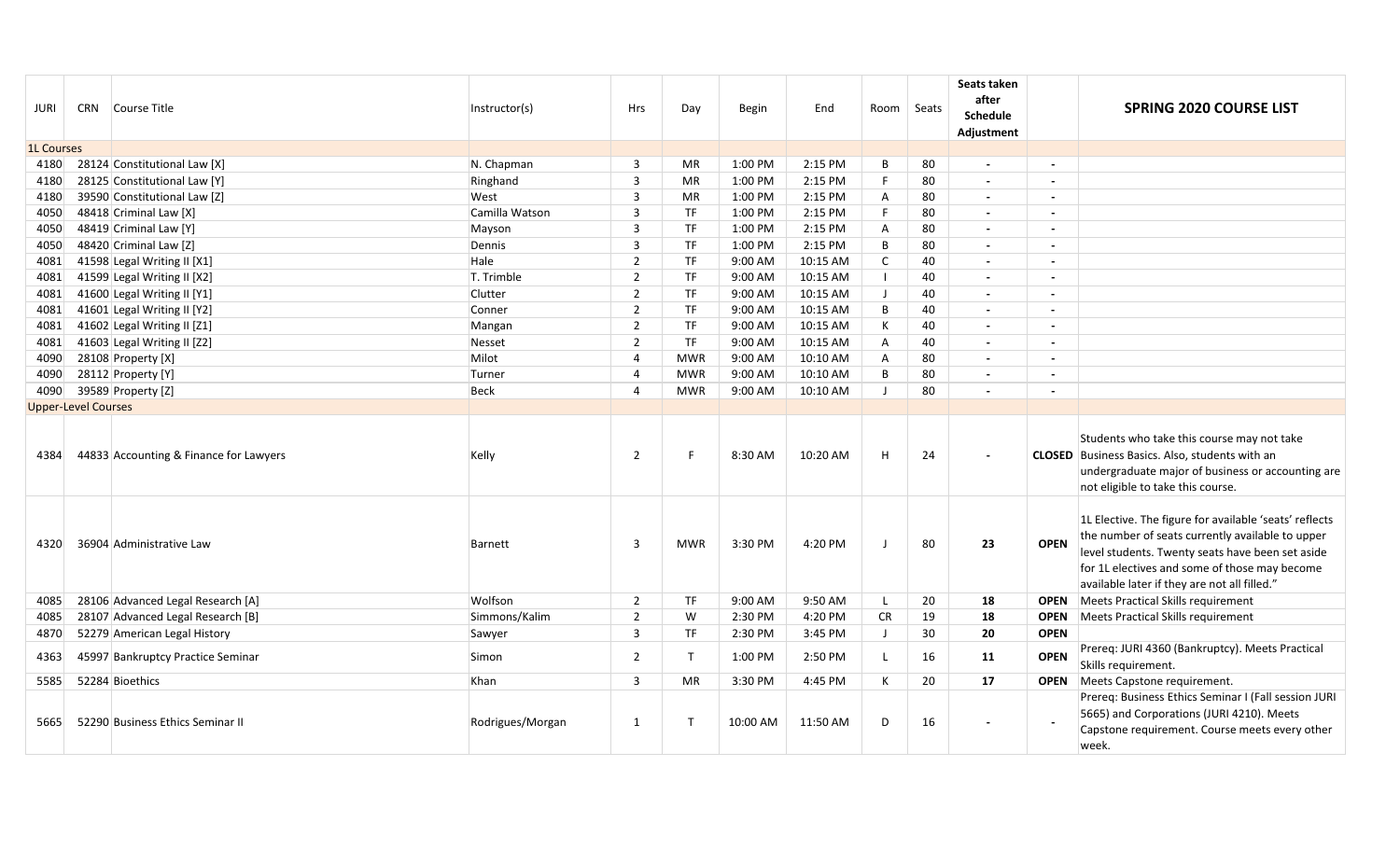| JURI              |                            | CRN Course Title                       | Instructor(s)    | <b>Hrs</b>     | Day          | <b>Begin</b> | End      | Room Seats     |    | Seats taken<br>after<br><b>Schedule</b><br>Adjustment |                          | <b>SPRING 2020 COURSE LIST</b>                                                                                                                                                                                                                                  |
|-------------------|----------------------------|----------------------------------------|------------------|----------------|--------------|--------------|----------|----------------|----|-------------------------------------------------------|--------------------------|-----------------------------------------------------------------------------------------------------------------------------------------------------------------------------------------------------------------------------------------------------------------|
| <b>1L Courses</b> |                            |                                        |                  |                |              |              |          |                |    |                                                       |                          |                                                                                                                                                                                                                                                                 |
| 4180              |                            | 28124 Constitutional Law [X]           | N. Chapman       | 3              | MR           | 1:00 PM      | 2:15 PM  | B              | 80 | $\blacksquare$                                        | $\overline{\phantom{a}}$ |                                                                                                                                                                                                                                                                 |
| 4180              |                            | 28125 Constitutional Law [Y]           | Ringhand         | 3              | <b>MR</b>    | 1:00 PM      | 2:15 PM  | F.             | 80 | $\blacksquare$                                        |                          |                                                                                                                                                                                                                                                                 |
| 4180              |                            | 39590 Constitutional Law [Z]           | West             | 3              | MR           | 1:00 PM      | 2:15 PM  | Α              | 80 | $\blacksquare$                                        | $\blacksquare$           |                                                                                                                                                                                                                                                                 |
| 4050              |                            | 48418 Criminal Law [X]                 | Camilla Watson   | 3              | <b>TF</b>    | 1:00 PM      | 2:15 PM  | F.             | 80 | $\overline{\phantom{a}}$                              |                          |                                                                                                                                                                                                                                                                 |
| 4050              |                            | 48419 Criminal Law [Y]                 | Mayson           | 3              | <b>TF</b>    | 1:00 PM      | 2:15 PM  | $\overline{A}$ | 80 | $\sim$                                                | $\overline{a}$           |                                                                                                                                                                                                                                                                 |
| 4050              |                            | 48420 Criminal Law [Z]                 | Dennis           | 3              | TF           | 1:00 PM      | 2:15 PM  | B              | 80 | $\blacksquare$                                        | $\overline{\phantom{a}}$ |                                                                                                                                                                                                                                                                 |
| 4081              |                            | 41598 Legal Writing II [X1]            | Hale             | $\overline{2}$ | <b>TF</b>    | 9:00 AM      | 10:15 AM | C              | 40 | $\blacksquare$                                        | $\sim$                   |                                                                                                                                                                                                                                                                 |
| 4081              |                            | 41599 Legal Writing II [X2]            | T. Trimble       | $\overline{2}$ | <b>TF</b>    | 9:00 AM      | 10:15 AM |                | 40 | $\blacksquare$                                        | $\overline{\phantom{a}}$ |                                                                                                                                                                                                                                                                 |
| 4081              |                            | 41600 Legal Writing II [Y1]            | Clutter          | $\overline{2}$ | <b>TF</b>    | 9:00 AM      | 10:15 AM | $\perp$        | 40 | $\blacksquare$                                        | $\sim$                   |                                                                                                                                                                                                                                                                 |
| 4081              |                            | 41601 Legal Writing II [Y2]            | Conner           | $\overline{2}$ | <b>TF</b>    | 9:00 AM      | 10:15 AM | B              | 40 | $\blacksquare$                                        | $\overline{\phantom{a}}$ |                                                                                                                                                                                                                                                                 |
| 4081              |                            | 41602 Legal Writing II [Z1]            | Mangan           | $\overline{2}$ | <b>TF</b>    | 9:00 AM      | 10:15 AM | К              | 40 | $\blacksquare$                                        | $\overline{\phantom{0}}$ |                                                                                                                                                                                                                                                                 |
| 4081              |                            | 41603 Legal Writing II [Z2]            | Nesset           | $\overline{2}$ | <b>TF</b>    | 9:00 AM      | 10:15 AM | A              | 40 | $\overline{\phantom{a}}$                              | $\overline{\phantom{a}}$ |                                                                                                                                                                                                                                                                 |
| 4090              |                            | 28108 Property [X]                     | Milot            | $\overline{4}$ | <b>MWR</b>   | 9:00 AM      | 10:10 AM | A              | 80 | $\blacksquare$                                        |                          |                                                                                                                                                                                                                                                                 |
| 4090              |                            | 28112 Property [Y]                     | Turner           | 4              | <b>MWR</b>   | 9:00 AM      | 10:10 AM | B              | 80 | $\blacksquare$                                        | $\blacksquare$           |                                                                                                                                                                                                                                                                 |
| 4090              |                            | 39589 Property [Z]                     | <b>Beck</b>      | $\overline{a}$ | <b>MWR</b>   | 9:00 AM      | 10:10 AM |                | 80 | $\overline{a}$                                        |                          |                                                                                                                                                                                                                                                                 |
|                   | <b>Upper-Level Courses</b> |                                        |                  |                |              |              |          |                |    |                                                       |                          |                                                                                                                                                                                                                                                                 |
| 4384              |                            | 44833 Accounting & Finance for Lawyers | Kelly            | $\overline{2}$ | F            | 8:30 AM      | 10:20 AM | H              | 24 |                                                       |                          | Students who take this course may not take<br><b>CLOSED</b> Business Basics. Also, students with an<br>undergraduate major of business or accounting are<br>not eligible to take this course.                                                                   |
| 4320              |                            | 36904 Administrative Law               | <b>Barnett</b>   | 3              | <b>MWR</b>   | 3:30 PM      | 4:20 PM  | $\blacksquare$ | 80 | 23                                                    | <b>OPEN</b>              | 1L Elective. The figure for available 'seats' reflects<br>the number of seats currently available to upper<br>level students. Twenty seats have been set aside<br>for 1L electives and some of those may become<br>available later if they are not all filled." |
| 4085              |                            | 28106 Advanced Legal Research [A]      | Wolfson          | $\overline{2}$ | TF           | 9:00 AM      | 9:50 AM  | $\mathsf{L}$   | 20 | 18                                                    | <b>OPEN</b>              | Meets Practical Skills requirement                                                                                                                                                                                                                              |
| 4085              |                            | 28107 Advanced Legal Research [B]      | Simmons/Kalim    | $\overline{2}$ | W            | 2:30 PM      | 4:20 PM  | <b>CR</b>      | 19 | 18                                                    | <b>OPEN</b>              | Meets Practical Skills requirement                                                                                                                                                                                                                              |
| 4870              |                            | 52279 American Legal History           | Sawyer           | 3              | <b>TF</b>    | 2:30 PM      | 3:45 PM  | $\perp$        | 30 | 20                                                    | <b>OPEN</b>              |                                                                                                                                                                                                                                                                 |
| 4363              |                            | 45997 Bankruptcy Practice Seminar      | Simon            | $\overline{2}$ | $\mathsf{T}$ | 1:00 PM      | 2:50 PM  | $\mathbf{I}$   | 16 | 11                                                    | <b>OPEN</b>              | Prereq: JURI 4360 (Bankruptcy). Meets Practical<br>Skills requirement.                                                                                                                                                                                          |
| 5585              |                            | 52284 Bioethics                        | Khan             | 3              | <b>MR</b>    | 3:30 PM      | 4:45 PM  | К              | 20 | 17                                                    | <b>OPEN</b>              | Meets Capstone requirement.                                                                                                                                                                                                                                     |
| 5665              |                            | 52290 Business Ethics Seminar II       | Rodrigues/Morgan | $\mathbf{1}$   | $\mathsf{T}$ | 10:00 AM     | 11:50 AM | D              | 16 |                                                       |                          | Prereq: Business Ethics Seminar I (Fall session JURI<br>5665) and Corporations (JURI 4210). Meets<br>Capstone requirement. Course meets every other<br>week.                                                                                                    |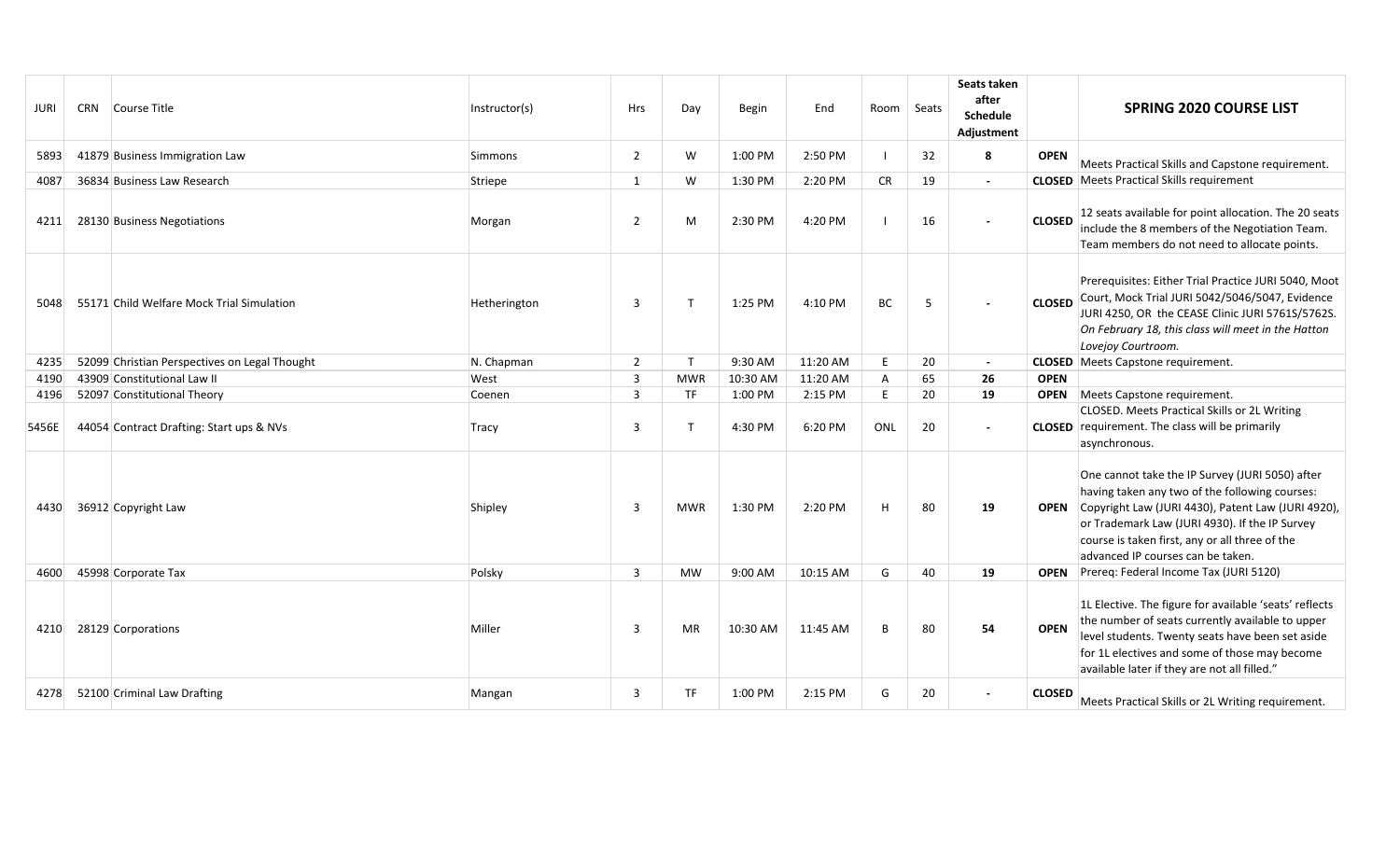| <b>JURI</b> | <b>CRN</b> | Course Title                                  | Instructor(s) | Hrs                     | Day          | <b>Begin</b> | End       | Room         | Seats | Seats taken<br>after<br><b>Schedule</b><br>Adjustment |               | <b>SPRING 2020 COURSE LIST</b>                                                                                                                                                                                                                                                                   |
|-------------|------------|-----------------------------------------------|---------------|-------------------------|--------------|--------------|-----------|--------------|-------|-------------------------------------------------------|---------------|--------------------------------------------------------------------------------------------------------------------------------------------------------------------------------------------------------------------------------------------------------------------------------------------------|
| 5893        |            | 41879 Business Immigration Law                | Simmons       | $\overline{2}$          | W            | 1:00 PM      | 2:50 PM   |              | 32    | 8                                                     | <b>OPEN</b>   | Meets Practical Skills and Capstone requirement.                                                                                                                                                                                                                                                 |
| 4087        |            | 36834 Business Law Research                   | Striepe       | $\mathbf{1}$            | W            | 1:30 PM      | 2:20 PM   | <b>CR</b>    | 19    | $\overline{\phantom{a}}$                              |               | <b>CLOSED</b> Meets Practical Skills requirement                                                                                                                                                                                                                                                 |
| 4211        |            | 28130 Business Negotiations                   | Morgan        | $\overline{2}$          | M            | 2:30 PM      | 4:20 PM   |              | 16    |                                                       | <b>CLOSED</b> | 12 seats available for point allocation. The 20 seats<br>include the 8 members of the Negotiation Team.<br>Team members do not need to allocate points.                                                                                                                                          |
| 5048        |            | 55171 Child Welfare Mock Trial Simulation     | Hetherington  | 3                       | $\mathsf{T}$ | 1:25 PM      | 4:10 PM   | <b>BC</b>    | -5    |                                                       | <b>CLOSED</b> | Prerequisites: Either Trial Practice JURI 5040, Moot<br>Court, Mock Trial JURI 5042/5046/5047, Evidence<br>JURI 4250, OR the CEASE Clinic JURI 5761S/5762S.<br>On February 18, this class will meet in the Hatton<br>Lovejoy Courtroom.                                                          |
| 4235        |            | 52099 Christian Perspectives on Legal Thought | N. Chapman    | $\overline{2}$          | T            | 9:30 AM      | 11:20 AM  | E            | 20    | $\overline{\phantom{a}}$                              |               | <b>CLOSED</b> Meets Capstone requirement.                                                                                                                                                                                                                                                        |
| 4190        |            | 43909 Constitutional Law II                   | West          | $\overline{3}$          | <b>MWR</b>   | 10:30 AM     | 11:20 AM  | $\mathsf{A}$ | 65    | 26                                                    | <b>OPEN</b>   |                                                                                                                                                                                                                                                                                                  |
| 4196        |            | 52097 Constitutional Theory                   | Coenen        | 3                       | <b>TF</b>    | 1:00 PM      | 2:15 PM   | E.           | 20    | 19                                                    | <b>OPEN</b>   | Meets Capstone requirement.                                                                                                                                                                                                                                                                      |
| 5456E       |            | 44054 Contract Drafting: Start ups & NVs      | Tracy         | $\overline{3}$          | $\mathsf{T}$ | 4:30 PM      | 6:20 PM   | ONL          | 20    |                                                       |               | <b>CLOSED.</b> Meets Practical Skills or 2L Writing<br><b>CLOSED</b> requirement. The class will be primarily<br>asynchronous.                                                                                                                                                                   |
| 4430        |            | 36912 Copyright Law                           | Shipley       | $\overline{3}$          | <b>MWR</b>   | 1:30 PM      | 2:20 PM   | H            | 80    | 19                                                    | <b>OPEN</b>   | One cannot take the IP Survey (JURI 5050) after<br>having taken any two of the following courses:<br>Copyright Law (JURI 4430), Patent Law (JURI 4920),<br>or Trademark Law (JURI 4930). If the IP Survey<br>course is taken first, any or all three of the<br>advanced IP courses can be taken. |
| 4600        |            | 45998 Corporate Tax                           | Polsky        | $\overline{3}$          | <b>MW</b>    | 9:00 AM      | 10:15 AM  | G            | 40    | 19                                                    |               | <b>OPEN</b> Prereq: Federal Income Tax (JURI 5120)                                                                                                                                                                                                                                               |
| 4210        |            | 28129 Corporations                            | Miller        | $\overline{\mathbf{3}}$ | MR           | 10:30 AM     | 11:45 AM  | В            | 80    | 54                                                    | <b>OPEN</b>   | 1L Elective. The figure for available 'seats' reflects<br>the number of seats currently available to upper<br>level students. Twenty seats have been set aside<br>for 1L electives and some of those may become<br>available later if they are not all filled."                                  |
| 4278        |            | 52100 Criminal Law Drafting                   | Mangan        | $\overline{3}$          | <b>TF</b>    | 1:00 PM      | $2:15$ PM | G            | 20    |                                                       | <b>CLOSED</b> | Meets Practical Skills or 2L Writing requirement.                                                                                                                                                                                                                                                |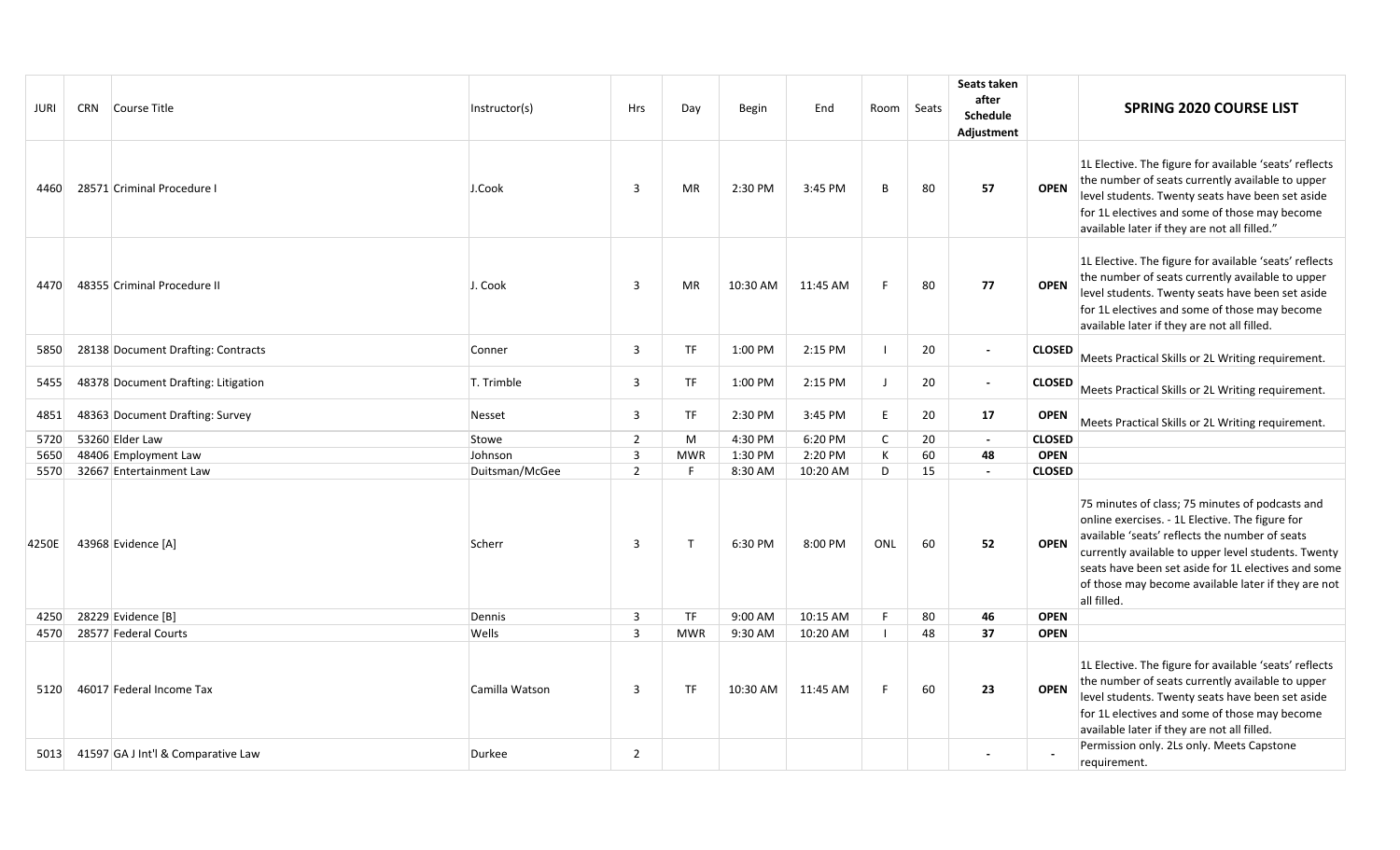| JURI  | CRN Course Title                    | Instructor(s)  | Hrs            | Day          | <b>Begin</b> | End      | Room   Seats   |    | Seats taken<br>after<br><b>Schedule</b><br>Adjustment |               | <b>SPRING 2020 COURSE LIST</b>                                                                                                                                                                                                                                                                                                           |
|-------|-------------------------------------|----------------|----------------|--------------|--------------|----------|----------------|----|-------------------------------------------------------|---------------|------------------------------------------------------------------------------------------------------------------------------------------------------------------------------------------------------------------------------------------------------------------------------------------------------------------------------------------|
| 4460  | 28571 Criminal Procedure I          | J.Cook         | 3              | MR           | 2:30 PM      | 3:45 PM  | B              | 80 | 57                                                    | <b>OPEN</b>   | 1L Elective. The figure for available 'seats' reflects<br>the number of seats currently available to upper<br>level students. Twenty seats have been set aside<br>for 1L electives and some of those may become<br>available later if they are not all filled."                                                                          |
| 4470  | 48355 Criminal Procedure II         | J. Cook        | 3              | MR           | 10:30 AM     | 11:45 AM | F              | 80 | 77                                                    | <b>OPEN</b>   | 1L Elective. The figure for available 'seats' reflects<br>the number of seats currently available to upper<br>level students. Twenty seats have been set aside<br>for 1L electives and some of those may become<br>available later if they are not all filled.                                                                           |
| 5850  | 28138 Document Drafting: Contracts  | Conner         | 3              | <b>TF</b>    | 1:00 PM      | 2:15 PM  |                | 20 | $\blacksquare$                                        | <b>CLOSED</b> | Meets Practical Skills or 2L Writing requirement.                                                                                                                                                                                                                                                                                        |
| 5455  | 48378 Document Drafting: Litigation | T. Trimble     | 3              | <b>TF</b>    | 1:00 PM      | 2:15 PM  | $\blacksquare$ | 20 | $\overline{\phantom{a}}$                              | <b>CLOSED</b> | Meets Practical Skills or 2L Writing requirement.                                                                                                                                                                                                                                                                                        |
| 4851  | 48363 Document Drafting: Survey     | Nesset         | 3              | <b>TF</b>    | 2:30 PM      | 3:45 PM  | E              | 20 | 17                                                    | <b>OPEN</b>   | Meets Practical Skills or 2L Writing requirement.                                                                                                                                                                                                                                                                                        |
| 5720  | 53260 Elder Law                     | Stowe          | $\overline{2}$ | M            | 4:30 PM      | 6:20 PM  | $\mathsf{C}$   | 20 | $\sim$                                                | <b>CLOSED</b> |                                                                                                                                                                                                                                                                                                                                          |
| 5650  | 48406 Employment Law                | Johnson        | 3              | <b>MWR</b>   | 1:30 PM      | 2:20 PM  | К              | 60 | 48                                                    | <b>OPEN</b>   |                                                                                                                                                                                                                                                                                                                                          |
| 5570  | 32667 Entertainment Law             | Duitsman/McGee | $\overline{2}$ | F            | 8:30 AM      | 10:20 AM | D              | 15 | $\blacksquare$                                        | <b>CLOSED</b> |                                                                                                                                                                                                                                                                                                                                          |
| 4250E | 43968 Evidence [A]                  | Scherr         | 3              | $\mathsf{T}$ | 6:30 PM      | 8:00 PM  | ONL            | 60 | 52                                                    | <b>OPEN</b>   | 75 minutes of class; 75 minutes of podcasts and<br>online exercises. - 1L Elective. The figure for<br>available 'seats' reflects the number of seats<br>currently available to upper level students. Twenty<br>seats have been set aside for 1L electives and some<br>of those may become available later if they are not<br>all filled. |
| 4250  | 28229 Evidence [B]                  | Dennis         | 3              | <b>TF</b>    | 9:00 AM      | 10:15 AM |                | 80 | 46                                                    | <b>OPEN</b>   |                                                                                                                                                                                                                                                                                                                                          |
| 4570  | 28577 Federal Courts                | Wells          | 3              | <b>MWR</b>   | 9:30 AM      | 10:20 AM |                | 48 | 37                                                    | <b>OPEN</b>   |                                                                                                                                                                                                                                                                                                                                          |
| 5120  | 46017 Federal Income Tax            | Camilla Watson | 3              | <b>TF</b>    | 10:30 AM     | 11:45 AM | F              | 60 | 23                                                    | <b>OPEN</b>   | 1L Elective. The figure for available 'seats' reflects<br>the number of seats currently available to upper<br>level students. Twenty seats have been set aside<br>for 1L electives and some of those may become<br>available later if they are not all filled.                                                                           |
| 5013  | 41597 GA J Int'l & Comparative Law  | Durkee         | $\overline{2}$ |              |              |          |                |    |                                                       |               | Permission only. 2Ls only. Meets Capstone<br>requirement.                                                                                                                                                                                                                                                                                |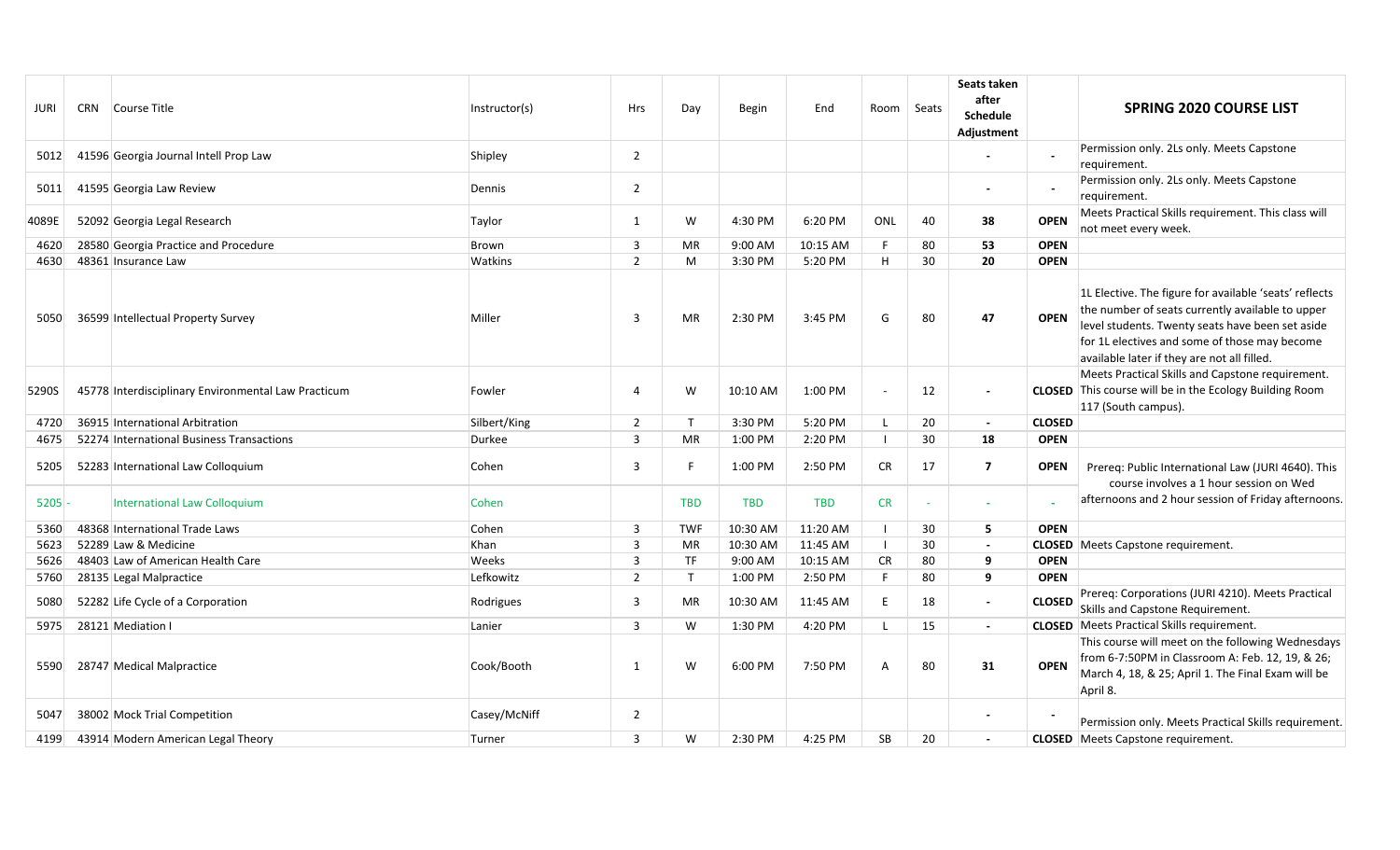| JURI  | CRN Course Title                                    | Instructor(s) | Hrs                     | Day          | Begin      | End        | Room Seats     |    | Seats taken<br>after<br><b>Schedule</b><br>Adjustment |               | <b>SPRING 2020 COURSE LIST</b>                                                                                                                                                                                                                                 |
|-------|-----------------------------------------------------|---------------|-------------------------|--------------|------------|------------|----------------|----|-------------------------------------------------------|---------------|----------------------------------------------------------------------------------------------------------------------------------------------------------------------------------------------------------------------------------------------------------------|
| 5012  | 41596 Georgia Journal Intell Prop Law               | Shipley       | $\overline{2}$          |              |            |            |                |    |                                                       |               | Permission only. 2Ls only. Meets Capstone<br>requirement.                                                                                                                                                                                                      |
| 5011  | 41595 Georgia Law Review                            | Dennis        | $\overline{2}$          |              |            |            |                |    |                                                       |               | Permission only. 2Ls only. Meets Capstone<br>requirement.                                                                                                                                                                                                      |
| 4089E | 52092 Georgia Legal Research                        | Taylor        | $\mathbf{1}$            | W            | 4:30 PM    | 6:20 PM    | ONL            | 40 | 38                                                    | <b>OPEN</b>   | Meets Practical Skills requirement. This class will<br>not meet every week.                                                                                                                                                                                    |
| 4620  | 28580 Georgia Practice and Procedure                | Brown         | 3                       | <b>MR</b>    | 9:00 AM    | 10:15 AM   | F.             | 80 | 53                                                    | <b>OPEN</b>   |                                                                                                                                                                                                                                                                |
| 4630  | 48361 Insurance Law                                 | Watkins       | $\overline{2}$          | M            | 3:30 PM    | 5:20 PM    | H              | 30 | 20                                                    | <b>OPEN</b>   |                                                                                                                                                                                                                                                                |
| 5050  | 36599 Intellectual Property Survey                  | Miller        | 3                       | <b>MR</b>    | 2:30 PM    | 3:45 PM    | G              | 80 | 47                                                    | <b>OPEN</b>   | 1L Elective. The figure for available 'seats' reflects<br>the number of seats currently available to upper<br>level students. Twenty seats have been set aside<br>for 1L electives and some of those may become<br>available later if they are not all filled. |
| 5290S | 45778 Interdisciplinary Environmental Law Practicum | Fowler        | 4                       | W            | 10:10 AM   | 1:00 PM    | $\bar{a}$      | 12 |                                                       |               | Meets Practical Skills and Capstone requirement.<br><b>CLOSED</b> This course will be in the Ecology Building Room<br>117 (South campus).                                                                                                                      |
| 4720  | 36915 International Arbitration                     | Silbert/King  | $\overline{2}$          | $\mathsf{T}$ | 3:30 PM    | 5:20 PM    | -L             | 20 | $\overline{\phantom{a}}$                              | <b>CLOSED</b> |                                                                                                                                                                                                                                                                |
| 4675  | 52274 International Business Transactions           | Durkee        | 3                       | MR           | 1:00 PM    | 2:20 PM    | $\mathbf{I}$   | 30 | 18                                                    | <b>OPEN</b>   |                                                                                                                                                                                                                                                                |
| 5205  | 52283 International Law Colloquium                  | Cohen         | 3                       | -F           | 1:00 PM    | 2:50 PM    | CR             | 17 | 7                                                     | <b>OPEN</b>   | Prereq: Public International Law (JURI 4640). This<br>course involves a 1 hour session on Wed                                                                                                                                                                  |
| 5205  | <b>International Law Colloquium</b>                 | Cohen         |                         | <b>TBD</b>   | <b>TBD</b> | <b>TBD</b> | <b>CR</b>      |    | $\sim$                                                |               | afternoons and 2 hour session of Friday afternoons.                                                                                                                                                                                                            |
| 5360  | 48368 International Trade Laws                      | Cohen         | 3                       | <b>TWF</b>   | 10:30 AM   | 11:20 AM   | $\blacksquare$ | 30 | 5                                                     | <b>OPEN</b>   |                                                                                                                                                                                                                                                                |
| 5623  | 52289 Law & Medicine                                | Khan          | $\overline{\mathbf{3}}$ | MR           | 10:30 AM   | 11:45 AM   | $\Box$         | 30 | $\overline{\phantom{a}}$                              |               | <b>CLOSED</b> Meets Capstone requirement.                                                                                                                                                                                                                      |
| 5626  | 48403 Law of American Health Care                   | Weeks         | $\overline{3}$          | <b>TF</b>    | 9:00 AM    | 10:15 AM   | <b>CR</b>      | 80 | 9                                                     | <b>OPEN</b>   |                                                                                                                                                                                                                                                                |
| 5760  | 28135 Legal Malpractice                             | Lefkowitz     | $\overline{2}$          | $\mathsf{T}$ | 1:00 PM    | 2:50 PM    | F.             | 80 | 9                                                     | <b>OPEN</b>   |                                                                                                                                                                                                                                                                |
| 5080  | 52282 Life Cycle of a Corporation                   | Rodrigues     | 3                       | MR           | 10:30 AM   | 11:45 AM   | E              | 18 | $\overline{\phantom{a}}$                              | <b>CLOSED</b> | Prereq: Corporations (JURI 4210). Meets Practical<br>Skills and Capstone Requirement.                                                                                                                                                                          |
| 5975  | 28121 Mediation I                                   | Lanier        | 3                       | W            | 1:30 PM    | 4:20 PM    | L              | 15 | $\overline{\phantom{a}}$                              |               | <b>CLOSED</b> Meets Practical Skills requirement.                                                                                                                                                                                                              |
| 5590  | 28747 Medical Malpractice                           | Cook/Booth    | -1                      | W            | 6:00 PM    | 7:50 PM    | A              | 80 | 31                                                    | <b>OPEN</b>   | This course will meet on the following Wednesdays<br>from 6-7:50PM in Classroom A: Feb. 12, 19, & 26;<br>March 4, 18, & 25; April 1. The Final Exam will be<br>April 8.                                                                                        |
| 5047  | 38002 Mock Trial Competition                        | Casey/McNiff  | $\overline{2}$          |              |            |            |                |    |                                                       |               | Permission only. Meets Practical Skills requirement.                                                                                                                                                                                                           |
| 4199  | 43914 Modern American Legal Theory                  | Turner        | 3                       | W            | 2:30 PM    | 4:25 PM    | SB             | 20 | $\blacksquare$                                        |               | <b>CLOSED</b> Meets Capstone requirement.                                                                                                                                                                                                                      |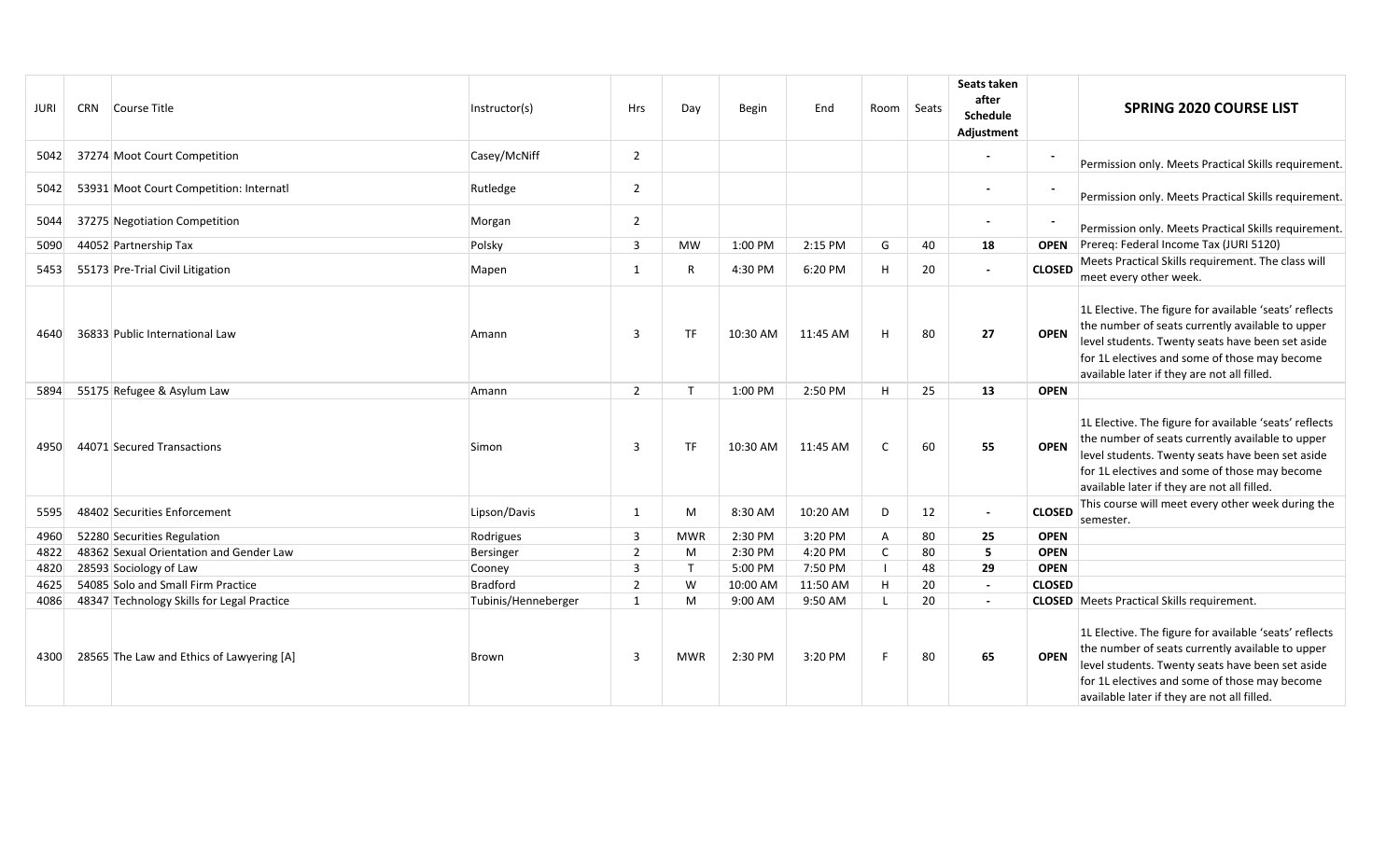| JURI | CRN Course Title                           | Instructor(s)       | <b>Hrs</b>     | Day          | Begin    | End      |                | Room Seats | Seats taken<br>after<br><b>Schedule</b><br>Adjustment |               | <b>SPRING 2020 COURSE LIST</b>                                                                                                                                                                                                                                 |
|------|--------------------------------------------|---------------------|----------------|--------------|----------|----------|----------------|------------|-------------------------------------------------------|---------------|----------------------------------------------------------------------------------------------------------------------------------------------------------------------------------------------------------------------------------------------------------------|
| 5042 | 37274 Moot Court Competition               | Casey/McNiff        | $\overline{2}$ |              |          |          |                |            |                                                       |               | Permission only. Meets Practical Skills requirement.                                                                                                                                                                                                           |
| 5042 | 53931 Moot Court Competition: Internatl    | Rutledge            | $\overline{2}$ |              |          |          |                |            |                                                       |               | Permission only. Meets Practical Skills requirement.                                                                                                                                                                                                           |
| 5044 | 37275 Negotiation Competition              | Morgan              | $\overline{2}$ |              |          |          |                |            |                                                       |               | Permission only. Meets Practical Skills requirement.                                                                                                                                                                                                           |
| 5090 | 44052 Partnership Tax                      | Polsky              | 3              | <b>MW</b>    | 1:00 PM  | 2:15 PM  | G              | 40         | 18                                                    | <b>OPEN</b>   | Prereq: Federal Income Tax (JURI 5120)                                                                                                                                                                                                                         |
| 5453 | 55173 Pre-Trial Civil Litigation           | Mapen               | 1              | R            | 4:30 PM  | 6:20 PM  | H              | 20         | $\overline{\phantom{a}}$                              | <b>CLOSED</b> | Meets Practical Skills requirement. The class will<br>meet every other week.                                                                                                                                                                                   |
| 4640 | 36833 Public International Law             | Amann               | 3              | <b>TF</b>    | 10:30 AM | 11:45 AM | H              | 80         | 27                                                    | <b>OPEN</b>   | 1L Elective. The figure for available 'seats' reflects<br>the number of seats currently available to upper<br>level students. Twenty seats have been set aside<br>for 1L electives and some of those may become<br>available later if they are not all filled. |
| 5894 | 55175 Refugee & Asylum Law                 | Amann               | $\overline{2}$ | $\mathsf{T}$ | 1:00 PM  | 2:50 PM  | H              | 25         | 13                                                    | <b>OPEN</b>   |                                                                                                                                                                                                                                                                |
| 4950 | 44071 Secured Transactions                 | Simon               | 3              | <b>TF</b>    | 10:30 AM | 11:45 AM | $\mathsf{C}$   | 60         | 55                                                    | <b>OPEN</b>   | 1L Elective. The figure for available 'seats' reflects<br>the number of seats currently available to upper<br>level students. Twenty seats have been set aside<br>for 1L electives and some of those may become<br>available later if they are not all filled. |
| 5595 | 48402 Securities Enforcement               | Lipson/Davis        | $\mathbf{1}$   | M            | 8:30 AM  | 10:20 AM | D              | 12         | $\blacksquare$                                        | <b>CLOSED</b> | This course will meet every other week during the<br>semester.                                                                                                                                                                                                 |
| 4960 | 52280 Securities Regulation                | Rodrigues           | 3              | <b>MWR</b>   | 2:30 PM  | 3:20 PM  | $\overline{A}$ | 80         | 25                                                    | <b>OPEN</b>   |                                                                                                                                                                                                                                                                |
| 4822 | 48362 Sexual Orientation and Gender Law    | Bersinger           | $\overline{2}$ | M            | 2:30 PM  | 4:20 PM  | $\mathsf{C}$   | 80         | 5                                                     | <b>OPEN</b>   |                                                                                                                                                                                                                                                                |
| 4820 | 28593 Sociology of Law                     | Cooney              | 3              | T            | 5:00 PM  | 7:50 PM  | $\perp$        | 48         | 29                                                    | <b>OPEN</b>   |                                                                                                                                                                                                                                                                |
| 4625 | 54085 Solo and Small Firm Practice         | Bradford            | $\overline{2}$ | W            | 10:00 AM | 11:50 AM | H              | 20         | $\sim$                                                | <b>CLOSED</b> |                                                                                                                                                                                                                                                                |
| 4086 | 48347 Technology Skills for Legal Practice | Tubinis/Henneberger | 1              | M            | 9:00 AM  | 9:50 AM  | $\mathsf{L}$   | 20         | $\overline{\phantom{a}}$                              |               | <b>CLOSED</b> Meets Practical Skills requirement.                                                                                                                                                                                                              |
| 4300 | 28565 The Law and Ethics of Lawyering [A]  | Brown               | 3              | <b>MWR</b>   | 2:30 PM  | 3:20 PM  | F              | 80         | 65                                                    | <b>OPEN</b>   | 1L Elective. The figure for available 'seats' reflects<br>the number of seats currently available to upper<br>level students. Twenty seats have been set aside<br>for 1L electives and some of those may become<br>available later if they are not all filled. |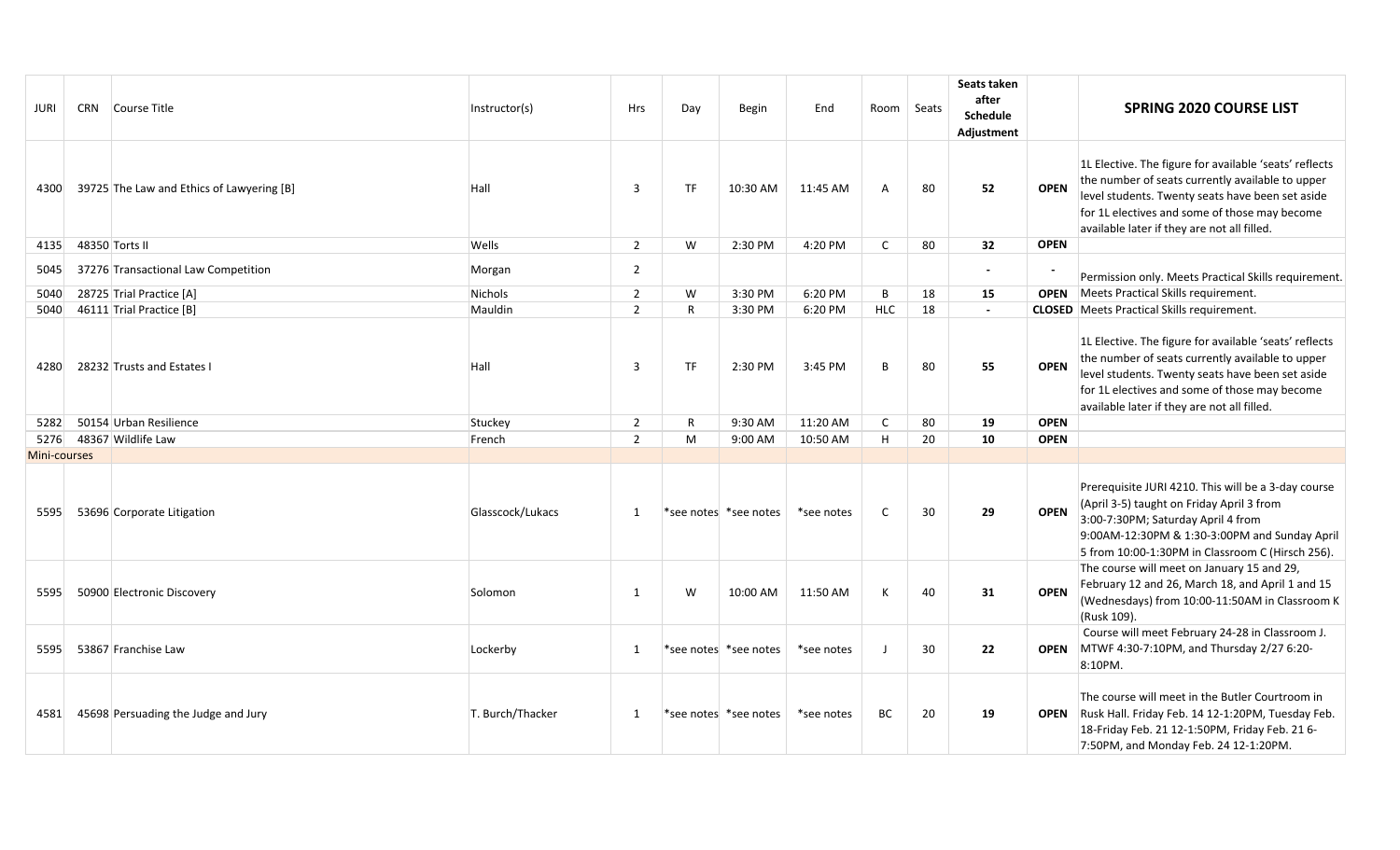| JURI         | CRN Course Title                          | Instructor(s)    | <b>Hrs</b>     | Day          | <b>Begin</b>          | End        | Room Seats   |    | Seats taken<br>after<br><b>Schedule</b><br>Adjustment |             | <b>SPRING 2020 COURSE LIST</b>                                                                                                                                                                                                                                 |
|--------------|-------------------------------------------|------------------|----------------|--------------|-----------------------|------------|--------------|----|-------------------------------------------------------|-------------|----------------------------------------------------------------------------------------------------------------------------------------------------------------------------------------------------------------------------------------------------------------|
| 4300         | 39725 The Law and Ethics of Lawyering [B] | Hall             | 3              | <b>TF</b>    | 10:30 AM              | 11:45 AM   | A            | 80 | 52                                                    | <b>OPEN</b> | 1L Elective. The figure for available 'seats' reflects<br>the number of seats currently available to upper<br>level students. Twenty seats have been set aside<br>for 1L electives and some of those may become<br>available later if they are not all filled. |
| 4135         | 48350 Torts II                            | Wells            | $\overline{2}$ | W            | 2:30 PM               | 4:20 PM    | $\mathsf{C}$ | 80 | 32                                                    | <b>OPEN</b> |                                                                                                                                                                                                                                                                |
| 5045         | 37276 Transactional Law Competition       | Morgan           | $\overline{2}$ |              |                       |            |              |    | $\overline{\phantom{a}}$                              |             | Permission only. Meets Practical Skills requirement                                                                                                                                                                                                            |
| 5040         | 28725 Trial Practice [A]                  | Nichols          | $\overline{2}$ | W            | 3:30 PM               | 6:20 PM    | B            | 18 | 15                                                    | <b>OPEN</b> | Meets Practical Skills requirement.                                                                                                                                                                                                                            |
| 5040         | 46111 Trial Practice [B]                  | Mauldin          | $\overline{2}$ | R            | 3:30 PM               | 6:20 PM    | <b>HLC</b>   | 18 | $\blacksquare$                                        |             | <b>CLOSED</b> Meets Practical Skills requirement.                                                                                                                                                                                                              |
| 4280         | 28232 Trusts and Estates I                | Hall             | $\overline{3}$ | <b>TF</b>    | 2:30 PM               | 3:45 PM    | B.           | 80 | 55                                                    | <b>OPEN</b> | 1L Elective. The figure for available 'seats' reflects<br>the number of seats currently available to upper<br>level students. Twenty seats have been set aside<br>for 1L electives and some of those may become<br>available later if they are not all filled. |
| 5282         | 50154 Urban Resilience                    | Stuckey          | $\overline{2}$ | $\mathsf{R}$ | 9:30 AM               | 11:20 AM   | C            | 80 | 19                                                    | <b>OPEN</b> |                                                                                                                                                                                                                                                                |
| 5276         | 48367 Wildlife Law                        | French           | $\overline{2}$ | M            | 9:00 AM               | 10:50 AM   | H            | 20 | 10                                                    | <b>OPEN</b> |                                                                                                                                                                                                                                                                |
| Mini-courses |                                           |                  |                |              |                       |            |              |    |                                                       |             |                                                                                                                                                                                                                                                                |
| 5595         | 53696 Corporate Litigation                | Glasscock/Lukacs | 1              |              | *see notes *see notes | *see notes | C            | 30 | 29                                                    | <b>OPEN</b> | Prerequisite JURI 4210. This will be a 3-day course<br>(April 3-5) taught on Friday April 3 from<br>3:00-7:30PM; Saturday April 4 from<br>9:00AM-12:30PM & 1:30-3:00PM and Sunday April<br>5 from 10:00-1:30PM in Classroom C (Hirsch 256).                    |
| 5595         | 50900 Electronic Discovery                | Solomon          | 1              | W            | 10:00 AM              | 11:50 AM   | К            | 40 | 31                                                    | <b>OPEN</b> | The course will meet on January 15 and 29,<br>February 12 and 26, March 18, and April 1 and 15<br>(Wednesdays) from 10:00-11:50AM in Classroom K<br>(Rusk 109).                                                                                                |
| 5595         | 53867 Franchise Law                       | Lockerby         | 1              |              | *see notes *see notes | *see notes |              | 30 | 22                                                    | <b>OPEN</b> | Course will meet February 24-28 in Classroom J.<br>MTWF 4:30-7:10PM, and Thursday 2/27 6:20-<br>8:10PM.                                                                                                                                                        |
| 4581         | 45698 Persuading the Judge and Jury       | T. Burch/Thacker | 1              |              | *see notes *see notes | *see notes | BC           | 20 | 19                                                    |             | The course will meet in the Butler Courtroom in<br>OPEN Rusk Hall. Friday Feb. 14 12-1:20PM, Tuesday Feb.<br>18-Friday Feb. 21 12-1:50PM, Friday Feb. 21 6-<br>7:50PM, and Monday Feb. 24 12-1:20PM.                                                           |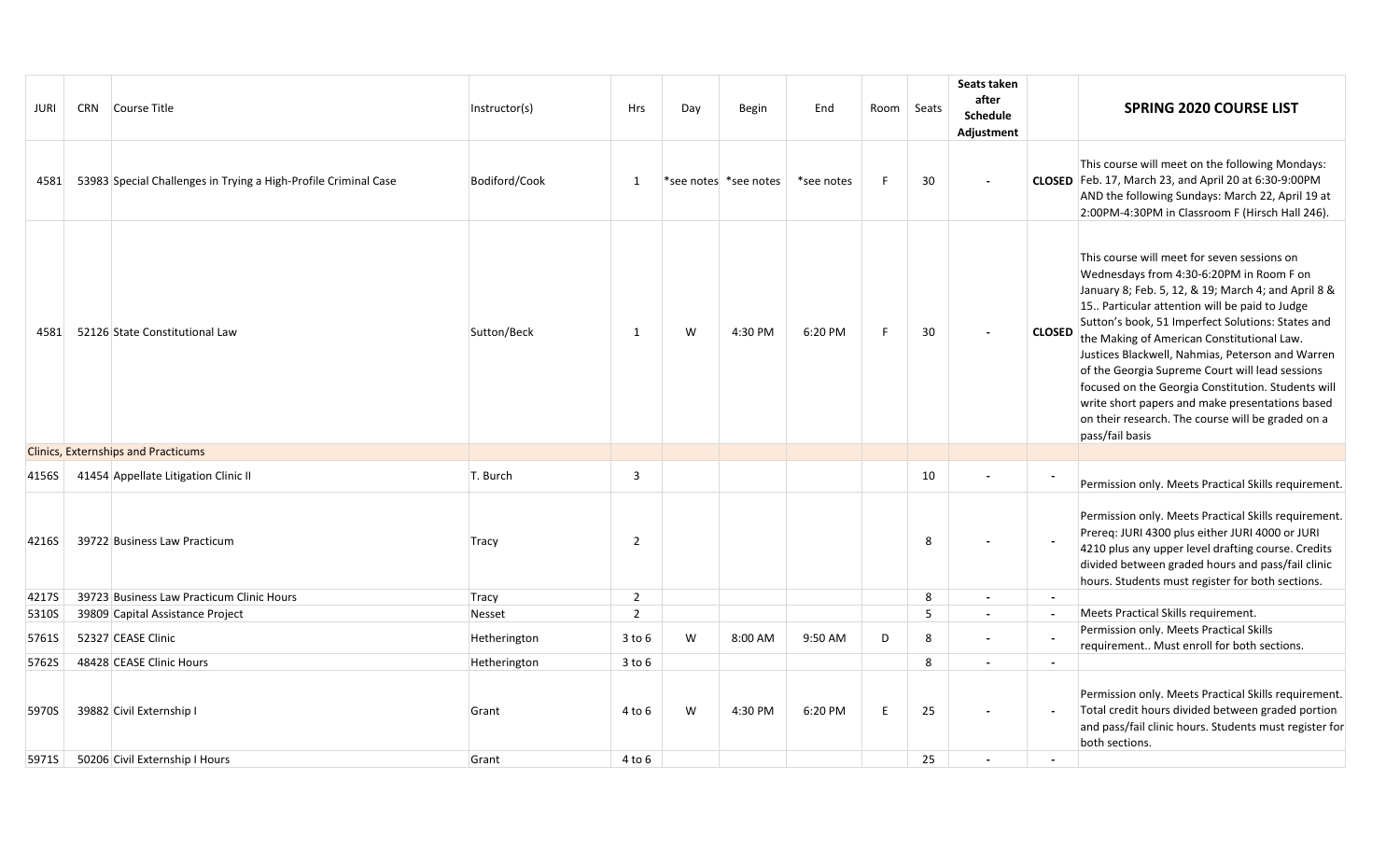| JURI  | CRN Course Title                                                | Instructor(s) | Hrs            | Day | Begin                 | End        | Room   Seats |    | Seats taken<br>after<br><b>Schedule</b><br>Adjustment |                          | <b>SPRING 2020 COURSE LIST</b>                                                                                                                                                                                                                                                                                                                                                                                                                                                                                                                                                              |
|-------|-----------------------------------------------------------------|---------------|----------------|-----|-----------------------|------------|--------------|----|-------------------------------------------------------|--------------------------|---------------------------------------------------------------------------------------------------------------------------------------------------------------------------------------------------------------------------------------------------------------------------------------------------------------------------------------------------------------------------------------------------------------------------------------------------------------------------------------------------------------------------------------------------------------------------------------------|
| 4581  | 53983 Special Challenges in Trying a High-Profile Criminal Case | Bodiford/Cook | 1              |     | *see notes *see notes | *see notes | -F           | 30 |                                                       |                          | This course will meet on the following Mondays:<br>CLOSED Feb. 17, March 23, and April 20 at 6:30-9:00PM<br>AND the following Sundays: March 22, April 19 at<br>2:00PM-4:30PM in Classroom F (Hirsch Hall 246).                                                                                                                                                                                                                                                                                                                                                                             |
| 4581  | 52126 State Constitutional Law                                  | Sutton/Beck   | 1              | W   | 4:30 PM               | 6:20 PM    | E            | 30 |                                                       | <b>CLOSED</b>            | This course will meet for seven sessions on<br>Wednesdays from 4:30-6:20PM in Room F on<br>January 8; Feb. 5, 12, & 19; March 4; and April 8 &<br>15. Particular attention will be paid to Judge<br>Sutton's book, 51 Imperfect Solutions: States and<br>the Making of American Constitutional Law.<br>Justices Blackwell, Nahmias, Peterson and Warren<br>of the Georgia Supreme Court will lead sessions<br>focused on the Georgia Constitution. Students will<br>write short papers and make presentations based<br>on their research. The course will be graded on a<br>pass/fail basis |
|       | <b>Clinics, Externships and Practicums</b>                      |               |                |     |                       |            |              |    |                                                       |                          |                                                                                                                                                                                                                                                                                                                                                                                                                                                                                                                                                                                             |
| 4156S | 41454 Appellate Litigation Clinic II                            | T. Burch      | 3              |     |                       |            |              | 10 |                                                       |                          | Permission only. Meets Practical Skills requirement.                                                                                                                                                                                                                                                                                                                                                                                                                                                                                                                                        |
| 4216S | 39722 Business Law Practicum                                    | Tracy         | $\overline{2}$ |     |                       |            |              | 8  |                                                       |                          | Permission only. Meets Practical Skills requirement.<br>Prereq: JURI 4300 plus either JURI 4000 or JURI<br>4210 plus any upper level drafting course. Credits<br>divided between graded hours and pass/fail clinic<br>hours. Students must register for both sections.                                                                                                                                                                                                                                                                                                                      |
| 4217S | 39723 Business Law Practicum Clinic Hours                       | Tracy         | $\overline{2}$ |     |                       |            |              | 8  | $\blacksquare$                                        | $\sim$                   |                                                                                                                                                                                                                                                                                                                                                                                                                                                                                                                                                                                             |
| 5310S | 39809 Capital Assistance Project                                | Nesset        | $\overline{2}$ |     |                       |            |              | 5  | $\blacksquare$                                        | $\sim$                   | Meets Practical Skills requirement.                                                                                                                                                                                                                                                                                                                                                                                                                                                                                                                                                         |
| 5761S | 52327 CEASE Clinic                                              | Hetherington  | $3$ to $6$     | W   | 8:00 AM               | 9:50 AM    | D            | 8  | $\blacksquare$                                        |                          | Permission only. Meets Practical Skills<br>requirement Must enroll for both sections.                                                                                                                                                                                                                                                                                                                                                                                                                                                                                                       |
| 5762S | 48428 CEASE Clinic Hours                                        | Hetherington  | $3$ to $6$     |     |                       |            |              | 8  | $\blacksquare$                                        | $\sim$                   |                                                                                                                                                                                                                                                                                                                                                                                                                                                                                                                                                                                             |
| 5970S | 39882 Civil Externship I                                        | Grant         | 4 to 6         | W   | 4:30 PM               | 6:20 PM    | E            | 25 |                                                       | $\sim$                   | Permission only. Meets Practical Skills requirement.<br>Total credit hours divided between graded portion<br>and pass/fail clinic hours. Students must register for<br>both sections.                                                                                                                                                                                                                                                                                                                                                                                                       |
| 5971S | 50206 Civil Externship I Hours                                  | Grant         | 4 to 6         |     |                       |            |              | 25 | $\overline{\phantom{a}}$                              | $\overline{\phantom{a}}$ |                                                                                                                                                                                                                                                                                                                                                                                                                                                                                                                                                                                             |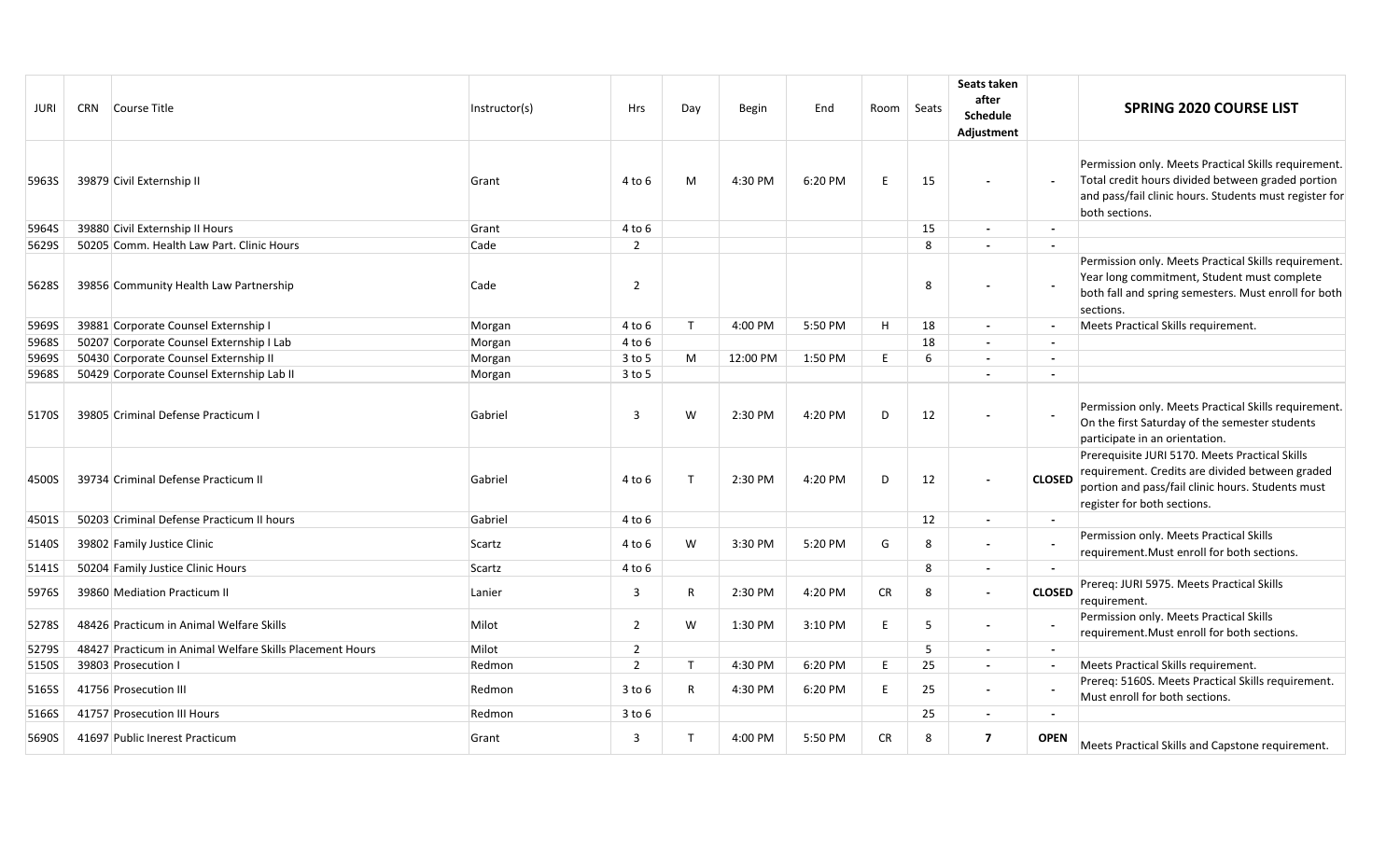| JURI  | CRN Course Title                                         | Instructor(s) | <b>Hrs</b>     | Day          | <b>Begin</b> | End     | Room Seats |    | Seats taken<br>after<br><b>Schedule</b><br>Adjustment |                          | <b>SPRING 2020 COURSE LIST</b>                                                                                                                                                        |
|-------|----------------------------------------------------------|---------------|----------------|--------------|--------------|---------|------------|----|-------------------------------------------------------|--------------------------|---------------------------------------------------------------------------------------------------------------------------------------------------------------------------------------|
| 5963S | 39879 Civil Externship II                                | Grant         | 4 to 6         | M            | 4:30 PM      | 6:20 PM | E          | 15 |                                                       |                          | Permission only. Meets Practical Skills requirement<br>Total credit hours divided between graded portion<br>and pass/fail clinic hours. Students must register for<br>both sections.  |
| 5964S | 39880 Civil Externship II Hours                          | Grant         | 4 to 6         |              |              |         |            | 15 | $\sim$                                                | $\overline{\phantom{a}}$ |                                                                                                                                                                                       |
| 5629S | 50205 Comm. Health Law Part. Clinic Hours                | Cade          | $\overline{2}$ |              |              |         |            | 8  | $\overline{a}$                                        |                          |                                                                                                                                                                                       |
| 5628S | 39856 Community Health Law Partnership                   | Cade          | $\overline{2}$ |              |              |         |            | 8  |                                                       |                          | Permission only. Meets Practical Skills requirement.<br>Year long commitment, Student must complete<br>both fall and spring semesters. Must enroll for both<br>sections.              |
| 5969S | 39881 Corporate Counsel Externship I                     | Morgan        | 4 to 6         | $\mathsf{T}$ | 4:00 PM      | 5:50 PM | H          | 18 | $\sim$                                                | $\sim$                   | Meets Practical Skills requirement.                                                                                                                                                   |
| 5968S | 50207 Corporate Counsel Externship I Lab                 | Morgan        | 4 to 6         |              |              |         |            | 18 | $\blacksquare$                                        | $\sim$                   |                                                                                                                                                                                       |
| 5969S | 50430 Corporate Counsel Externship II                    | Morgan        | 3 to 5         | M            | 12:00 PM     | 1:50 PM | E          | 6  | $\blacksquare$                                        | $\overline{\phantom{a}}$ |                                                                                                                                                                                       |
| 5968S | 50429 Corporate Counsel Externship Lab II                | Morgan        | $3$ to 5       |              |              |         |            |    | $\overline{a}$                                        | $\sim$                   |                                                                                                                                                                                       |
| 5170S | 39805 Criminal Defense Practicum I                       | Gabriel       | 3              | W            | 2:30 PM      | 4:20 PM | D          | 12 |                                                       | $\overline{\phantom{a}}$ | Permission only. Meets Practical Skills requirement.<br>On the first Saturday of the semester students<br>participate in an orientation.                                              |
| 4500S | 39734 Criminal Defense Practicum II                      | Gabriel       | 4 to 6         | Т            | 2:30 PM      | 4:20 PM | D          | 12 |                                                       | <b>CLOSED</b>            | Prerequisite JURI 5170. Meets Practical Skills<br>requirement. Credits are divided between graded<br>portion and pass/fail clinic hours. Students must<br>register for both sections. |
| 4501S | 50203 Criminal Defense Practicum II hours                | Gabriel       | 4 to 6         |              |              |         |            | 12 | $\blacksquare$                                        | $\sim$                   |                                                                                                                                                                                       |
| 5140S | 39802 Family Justice Clinic                              | Scartz        | 4 to 6         | W            | 3:30 PM      | 5:20 PM | G          | 8  | $\blacksquare$                                        |                          | Permission only. Meets Practical Skills<br>requirement. Must enroll for both sections.                                                                                                |
| 5141S | 50204 Family Justice Clinic Hours                        | Scartz        | 4 to 6         |              |              |         |            | 8  | $\overline{\phantom{a}}$                              |                          |                                                                                                                                                                                       |
| 5976S | 39860 Mediation Practicum II                             | Lanier        | 3              | R            | 2:30 PM      | 4:20 PM | <b>CR</b>  | 8  | $\blacksquare$                                        | <b>CLOSED</b>            | Prereq: JURI 5975. Meets Practical Skills<br>requirement.                                                                                                                             |
| 5278S | 48426 Practicum in Animal Welfare Skills                 | Milot         | $\overline{2}$ | W            | 1:30 PM      | 3:10 PM | E          | 5  | $\blacksquare$                                        |                          | Permission only. Meets Practical Skills<br>requirement. Must enroll for both sections.                                                                                                |
| 5279S | 48427 Practicum in Animal Welfare Skills Placement Hours | Milot         | 2              |              |              |         |            | 5  | $\overline{\phantom{a}}$                              |                          |                                                                                                                                                                                       |
| 5150S | 39803 Prosecution I                                      | Redmon        | $\overline{2}$ | T            | 4:30 PM      | 6:20 PM | E          | 25 | $\overline{a}$                                        | $\sim$                   | Meets Practical Skills requirement.                                                                                                                                                   |
| 5165S | 41756 Prosecution III                                    | Redmon        | $3$ to $6$     | R            | 4:30 PM      | 6:20 PM | E          | 25 | $\overline{\phantom{a}}$                              |                          | Prereq: 5160S. Meets Practical Skills requirement.<br>Must enroll for both sections.                                                                                                  |
| 5166S | 41757 Prosecution III Hours                              | Redmon        | $3$ to $6$     |              |              |         |            | 25 | $\blacksquare$                                        | $\overline{\phantom{a}}$ |                                                                                                                                                                                       |
| 5690S | 41697 Public Inerest Practicum                           | Grant         | 3              | Т            | 4:00 PM      | 5:50 PM | CR         | 8  | $\overline{7}$                                        | <b>OPEN</b>              | Meets Practical Skills and Capstone requirement.                                                                                                                                      |